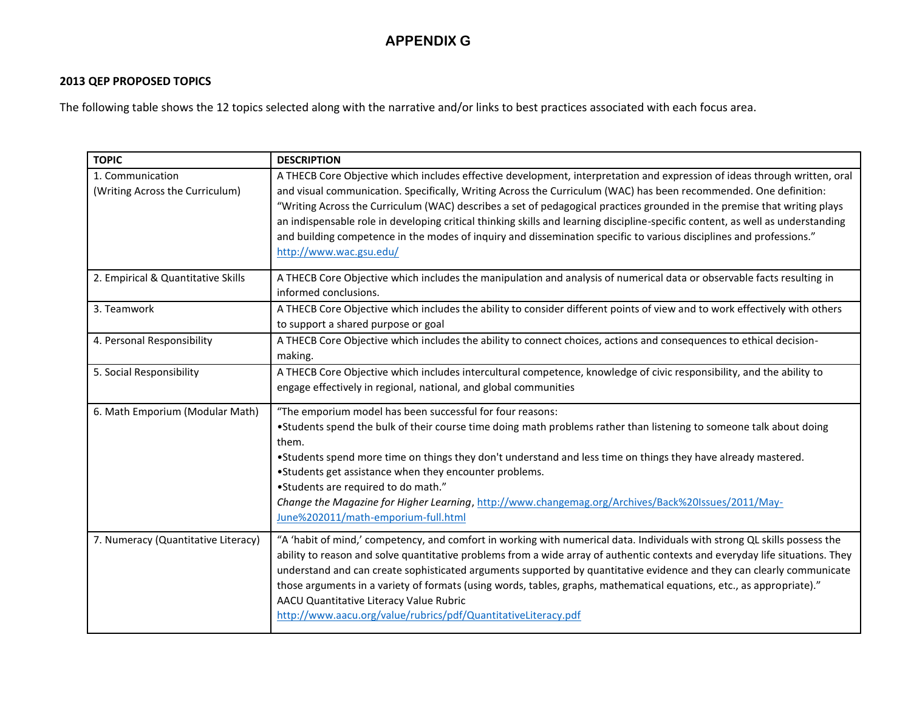## **APPENDIX G**

## **2013 QEP PROPOSED TOPICS**

The following table shows the 12 topics selected along with the narrative and/or links to best practices associated with each focus area.

| <b>TOPIC</b>                                        | <b>DESCRIPTION</b>                                                                                                                                                                                                                             |
|-----------------------------------------------------|------------------------------------------------------------------------------------------------------------------------------------------------------------------------------------------------------------------------------------------------|
| 1. Communication<br>(Writing Across the Curriculum) | A THECB Core Objective which includes effective development, interpretation and expression of ideas through written, oral<br>and visual communication. Specifically, Writing Across the Curriculum (WAC) has been recommended. One definition: |
|                                                     | "Writing Across the Curriculum (WAC) describes a set of pedagogical practices grounded in the premise that writing plays                                                                                                                       |
|                                                     | an indispensable role in developing critical thinking skills and learning discipline-specific content, as well as understanding                                                                                                                |
|                                                     | and building competence in the modes of inquiry and dissemination specific to various disciplines and professions."                                                                                                                            |
|                                                     | http://www.wac.gsu.edu/                                                                                                                                                                                                                        |
| 2. Empirical & Quantitative Skills                  | A THECB Core Objective which includes the manipulation and analysis of numerical data or observable facts resulting in                                                                                                                         |
|                                                     | informed conclusions.                                                                                                                                                                                                                          |
| 3. Teamwork                                         | A THECB Core Objective which includes the ability to consider different points of view and to work effectively with others<br>to support a shared purpose or goal                                                                              |
| 4. Personal Responsibility                          | A THECB Core Objective which includes the ability to connect choices, actions and consequences to ethical decision-<br>making.                                                                                                                 |
| 5. Social Responsibility                            | A THECB Core Objective which includes intercultural competence, knowledge of civic responsibility, and the ability to                                                                                                                          |
|                                                     | engage effectively in regional, national, and global communities                                                                                                                                                                               |
| 6. Math Emporium (Modular Math)                     | "The emporium model has been successful for four reasons:                                                                                                                                                                                      |
|                                                     | •Students spend the bulk of their course time doing math problems rather than listening to someone talk about doing<br>them.                                                                                                                   |
|                                                     | •Students spend more time on things they don't understand and less time on things they have already mastered.                                                                                                                                  |
|                                                     | •Students get assistance when they encounter problems.                                                                                                                                                                                         |
|                                                     | •Students are required to do math."                                                                                                                                                                                                            |
|                                                     | Change the Magazine for Higher Learning, http://www.changemag.org/Archives/Back%20Issues/2011/May-<br>June%202011/math-emporium-full.html                                                                                                      |
|                                                     | "A 'habit of mind,' competency, and comfort in working with numerical data. Individuals with strong QL skills possess the                                                                                                                      |
| 7. Numeracy (Quantitative Literacy)                 | ability to reason and solve quantitative problems from a wide array of authentic contexts and everyday life situations. They                                                                                                                   |
|                                                     | understand and can create sophisticated arguments supported by quantitative evidence and they can clearly communicate                                                                                                                          |
|                                                     | those arguments in a variety of formats (using words, tables, graphs, mathematical equations, etc., as appropriate)."                                                                                                                          |
|                                                     | AACU Quantitative Literacy Value Rubric                                                                                                                                                                                                        |
|                                                     | http://www.aacu.org/value/rubrics/pdf/QuantitativeLiteracy.pdf                                                                                                                                                                                 |